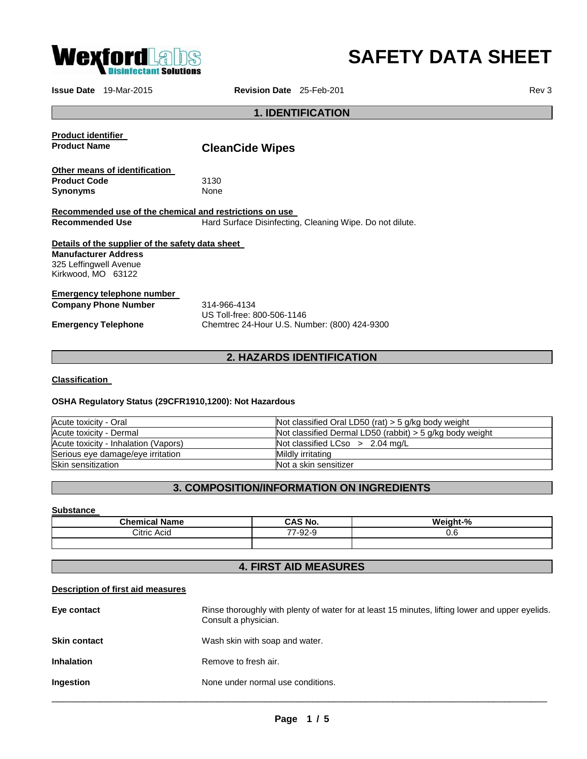

# **SAFETY DATA SHEET**

**Issue Date** 19-Mar-2015 **Revision Date** 25-Feb-201 **Revision Date** 25-Feb-201

## **1. IDENTIFICATION**

| <b>Product identifier</b>                               |                                                          |  |  |  |  |  |  |
|---------------------------------------------------------|----------------------------------------------------------|--|--|--|--|--|--|
| <b>Product Name</b>                                     | <b>CleanCide Wipes</b>                                   |  |  |  |  |  |  |
| Other means of identification                           |                                                          |  |  |  |  |  |  |
| <b>Product Code</b>                                     | 3130                                                     |  |  |  |  |  |  |
| <b>Synonyms</b>                                         | <b>None</b>                                              |  |  |  |  |  |  |
| Recommended use of the chemical and restrictions on use |                                                          |  |  |  |  |  |  |
| <b>Recommended Use</b>                                  | Hard Surface Disinfecting, Cleaning Wipe. Do not dilute. |  |  |  |  |  |  |
| Details of the supplier of the safety data sheet        |                                                          |  |  |  |  |  |  |
| <b>Manufacturer Address</b>                             |                                                          |  |  |  |  |  |  |
| 325 Leffingwell Avenue                                  |                                                          |  |  |  |  |  |  |
| Kirkwood, MO 63122                                      |                                                          |  |  |  |  |  |  |
| Emergency telephone number                              |                                                          |  |  |  |  |  |  |
| <b>Company Phone Number</b>                             | 314-966-4134                                             |  |  |  |  |  |  |
|                                                         | US Toll-free: 800-506-1146                               |  |  |  |  |  |  |
| <b>Emergency Telephone</b>                              | Chemtrec 24-Hour U.S. Number: (800) 424-9300             |  |  |  |  |  |  |
|                                                         |                                                          |  |  |  |  |  |  |
|                                                         | <b>2. HAZARDS IDENTIFICATION</b>                         |  |  |  |  |  |  |

**Classification** 

## **OSHA Regulatory Status (29CFR1910,1200): Not Hazardous**

| Acute toxicity - Oral                | Not classified Oral LD50 (rat) $>$ 5 g/kg body weight      |
|--------------------------------------|------------------------------------------------------------|
| Acute toxicity - Dermal              | Not classified Dermal LD50 (rabbit) $>$ 5 g/kg body weight |
| Acute toxicity - Inhalation (Vapors) | Not classified LCso $> 2.04$ mg/L                          |
| Serious eye damage/eye irritation    | Mildly irritating                                          |
| Skin sensitization                   | Not a skin sensitizer                                      |

## **3. COMPOSITION/INFORMATION ON INGREDIENTS**

#### **Substance**

| <b>Chemical Name</b> | CAS No.             | Weinht-%<br>- 70 |
|----------------------|---------------------|------------------|
| Citric<br>Acid       | റററ<br>--<br>≀-੭∠-੭ | 0.6              |
|                      |                     |                  |

# **4. FIRST AID MEASURES**

#### **Description of first aid measures**

| Eye contact         | Rinse thoroughly with plenty of water for at least 15 minutes, lifting lower and upper eyelids.<br>Consult a physician. |
|---------------------|-------------------------------------------------------------------------------------------------------------------------|
| <b>Skin contact</b> | Wash skin with soap and water.                                                                                          |
| <b>Inhalation</b>   | Remove to fresh air.                                                                                                    |
| Ingestion           | None under normal use conditions.                                                                                       |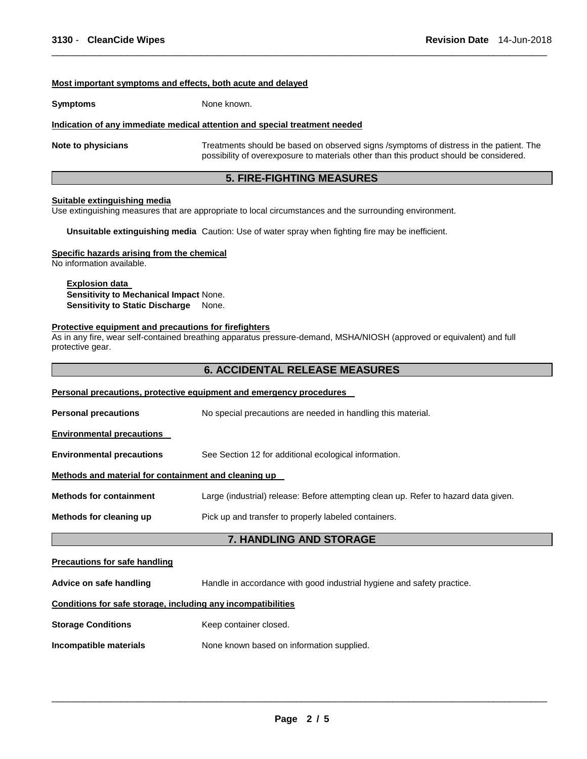#### **Most important symptoms and effects, both acute and delayed**

**Symptoms** None known.

#### **Indication of any immediate medical attention and special treatment needed**

**Note to physicians** Treatments should be based on observed signs /symptoms of distress in the patient. The possibility of overexposure to materials other than this product should be considered.

\_\_\_\_\_\_\_\_\_\_\_\_\_\_\_\_\_\_\_\_\_\_\_\_\_\_\_\_\_\_\_\_\_\_\_\_\_\_\_\_\_\_\_\_\_\_\_\_\_\_\_\_\_\_\_\_\_\_\_\_\_\_\_\_\_\_\_\_\_\_\_\_\_\_\_\_\_\_\_\_\_\_\_\_\_\_\_\_\_\_\_\_\_

## **5. FIRE-FIGHTING MEASURES**

#### **Suitable extinguishing media**

Use extinguishing measures that are appropriate to local circumstances and the surrounding environment.

**Unsuitable extinguishing media** Caution: Use of water spray when fighting fire may be inefficient.

#### **Specific hazards arising from the chemical**

No information available.

#### **Explosion data**

**Sensitivity to Mechanical Impact** None. **Sensitivity to Static Discharge** None.

#### **Protective equipment and precautions for firefighters**

As in any fire, wear self-contained breathing apparatus pressure-demand, MSHA/NIOSH (approved or equivalent) and full protective gear.

## **6. ACCIDENTAL RELEASE MEASURES**

|                                                              | <b>Personal precautions, protective equipment and emergency procedures</b>          |  |  |  |  |  |
|--------------------------------------------------------------|-------------------------------------------------------------------------------------|--|--|--|--|--|
| <b>Personal precautions</b>                                  | No special precautions are needed in handling this material.                        |  |  |  |  |  |
| <b>Environmental precautions</b>                             |                                                                                     |  |  |  |  |  |
| <b>Environmental precautions</b>                             | See Section 12 for additional ecological information.                               |  |  |  |  |  |
| Methods and material for containment and cleaning up         |                                                                                     |  |  |  |  |  |
| <b>Methods for containment</b>                               | Large (industrial) release: Before attempting clean up. Refer to hazard data given. |  |  |  |  |  |
| Methods for cleaning up                                      | Pick up and transfer to properly labeled containers.                                |  |  |  |  |  |
|                                                              | <b>7. HANDLING AND STORAGE</b>                                                      |  |  |  |  |  |
| <b>Precautions for safe handling</b>                         |                                                                                     |  |  |  |  |  |
| Advice on safe handling                                      | Handle in accordance with good industrial hygiene and safety practice.              |  |  |  |  |  |
| Conditions for safe storage, including any incompatibilities |                                                                                     |  |  |  |  |  |
| <b>Storage Conditions</b>                                    | Keep container closed.                                                              |  |  |  |  |  |

**Incompatible materials None known based on information supplied.**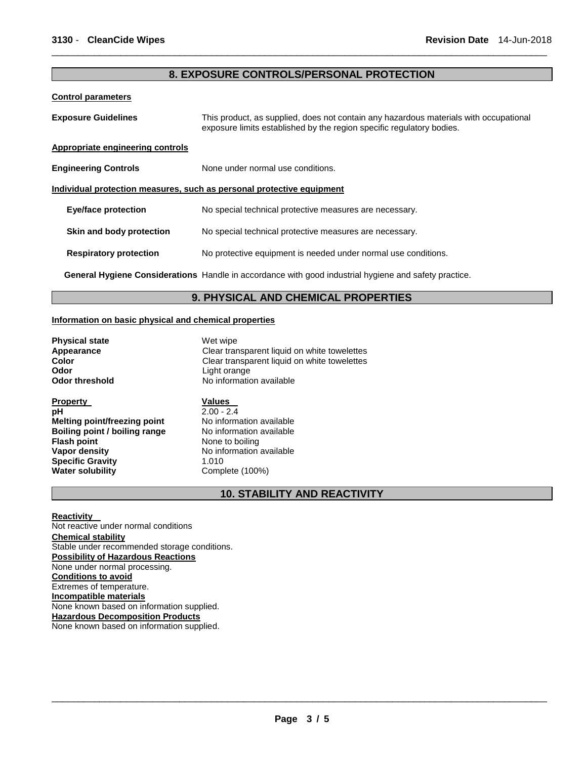## **8. EXPOSURE CONTROLS/PERSONAL PROTECTION**

\_\_\_\_\_\_\_\_\_\_\_\_\_\_\_\_\_\_\_\_\_\_\_\_\_\_\_\_\_\_\_\_\_\_\_\_\_\_\_\_\_\_\_\_\_\_\_\_\_\_\_\_\_\_\_\_\_\_\_\_\_\_\_\_\_\_\_\_\_\_\_\_\_\_\_\_\_\_\_\_\_\_\_\_\_\_\_\_\_\_\_\_\_

#### **Control parameters**

| <b>Exposure Guidelines</b>                                            | This product, as supplied, does not contain any hazardous materials with occupational<br>exposure limits established by the region specific regulatory bodies. |  |  |  |
|-----------------------------------------------------------------------|----------------------------------------------------------------------------------------------------------------------------------------------------------------|--|--|--|
| Appropriate engineering controls                                      |                                                                                                                                                                |  |  |  |
| <b>Engineering Controls</b>                                           | None under normal use conditions.                                                                                                                              |  |  |  |
| Individual protection measures, such as personal protective equipment |                                                                                                                                                                |  |  |  |
| <b>Eye/face protection</b>                                            | No special technical protective measures are necessary.                                                                                                        |  |  |  |
| Skin and body protection                                              | No special technical protective measures are necessary.                                                                                                        |  |  |  |
| <b>Respiratory protection</b>                                         | No protective equipment is needed under normal use conditions.                                                                                                 |  |  |  |
|                                                                       | <b>General Hygiene Considerations</b> Handle in accordance with good industrial hygiene and safety practice.                                                   |  |  |  |

## **9. PHYSICAL AND CHEMICAL PROPERTIES**

#### **Information on basic physical and chemical properties**

**Physical state Appearance Wet wipe Appearance Wet wipe Clear transformation Odor**<br> **Odor threshold**<br> **Odor threshold CODO CODO CODO CODO CODO CODO CODO CODO CODO CODO CODO CODO CODO CODO CODO** 

**Property Values pH**<br>**Melting point/freezing point** 2.00 - 2.4<br>**Melting point/freezing point** No information available **Melting point/freezing point No information available**<br> **Boiling point / boiling range No information available Boiling point / boiling range Flash point** <br> **Vapor density**<br> **Vapor density**<br> **No information Specific Gravity** 1.010<br> **Water solubility** Comp

**Appearance Clear transparent liquid on white towelettes**<br> **Clear transparent liquid on white towelettes Color** Clear transparent liquid on white towelettes<br> **Color** Light orange No information available

> **No information available** Complete (100%)

## **10. STABILITY AND REACTIVITY**

#### **Reactivity**

Not reactive under normal conditions **Chemical stability** Stable under recommended storage conditions. **Possibility of Hazardous Reactions** None under normal processing. **Conditions to avoid** Extremes of temperature. **Incompatible materials** None known based on information supplied. **Hazardous Decomposition Products** None known based on information supplied.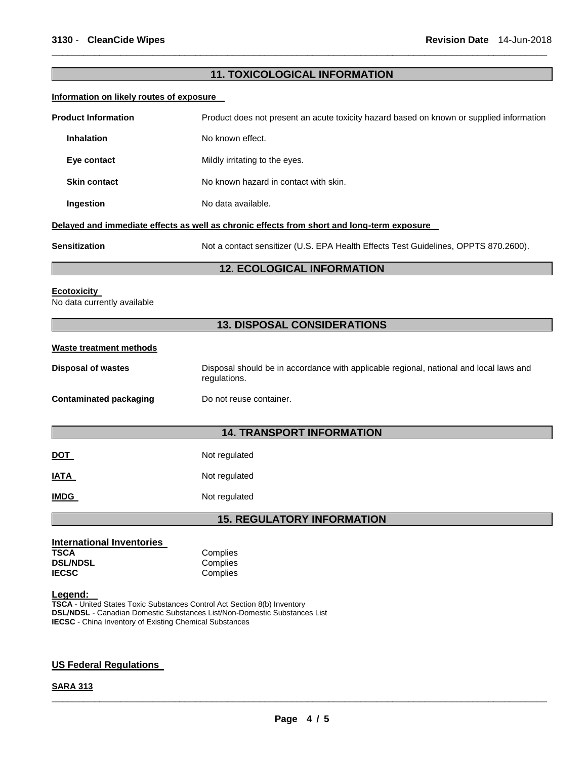## **11. TOXICOLOGICAL INFORMATION**

\_\_\_\_\_\_\_\_\_\_\_\_\_\_\_\_\_\_\_\_\_\_\_\_\_\_\_\_\_\_\_\_\_\_\_\_\_\_\_\_\_\_\_\_\_\_\_\_\_\_\_\_\_\_\_\_\_\_\_\_\_\_\_\_\_\_\_\_\_\_\_\_\_\_\_\_\_\_\_\_\_\_\_\_\_\_\_\_\_\_\_\_\_

#### **Information on likely routes of exposure**

| <b>Product Information</b><br>Product does not present an acute toxicity hazard based on known or supplied information |                                                                                            |  |  |  |
|------------------------------------------------------------------------------------------------------------------------|--------------------------------------------------------------------------------------------|--|--|--|
| <b>Inhalation</b>                                                                                                      | No known effect.                                                                           |  |  |  |
| Eye contact                                                                                                            | Mildly irritating to the eyes.                                                             |  |  |  |
| <b>Skin contact</b>                                                                                                    | No known hazard in contact with skin.                                                      |  |  |  |
| Ingestion                                                                                                              | No data available.                                                                         |  |  |  |
|                                                                                                                        | Delayed and immediate effects as well as chronic effects from short and long-term exposure |  |  |  |

**Sensitization** Not a contact sensitizer (U.S. EPA Health Effects Test Guidelines, OPPTS 870.2600).

## **12. ECOLOGICAL INFORMATION**

#### **Ecotoxicity**

No data currently available

## **13. DISPOSAL CONSIDERATIONS**

#### **Waste treatment methods**

| Disposal of wastes     | Disposal should be in accordance with applicable regional, national and local laws and<br>regulations. |  |  |  |  |
|------------------------|--------------------------------------------------------------------------------------------------------|--|--|--|--|
| Contaminated packaging | Do not reuse container.                                                                                |  |  |  |  |

## **14. TRANSPORT INFORMATION**

| DOT<br>___ | Not regulated |
|------------|---------------|
| IATA       | Not regulated |

**IMDG** Not regulated

### **15. REGULATORY INFORMATION**

| <b>International Inventories</b> |          |
|----------------------------------|----------|
| TSCA                             | Complies |
| <b>DSL/NDSL</b>                  | Complies |
| <b>IECSC</b>                     | Complies |

#### **Legend:**

**TSCA** - United States Toxic Substances Control Act Section 8(b) Inventory **DSL/NDSL** - Canadian Domestic Substances List/Non-Domestic Substances List **IECSC** - China Inventory of Existing Chemical Substances

#### **US Federal Regulations**

#### **SARA 313**